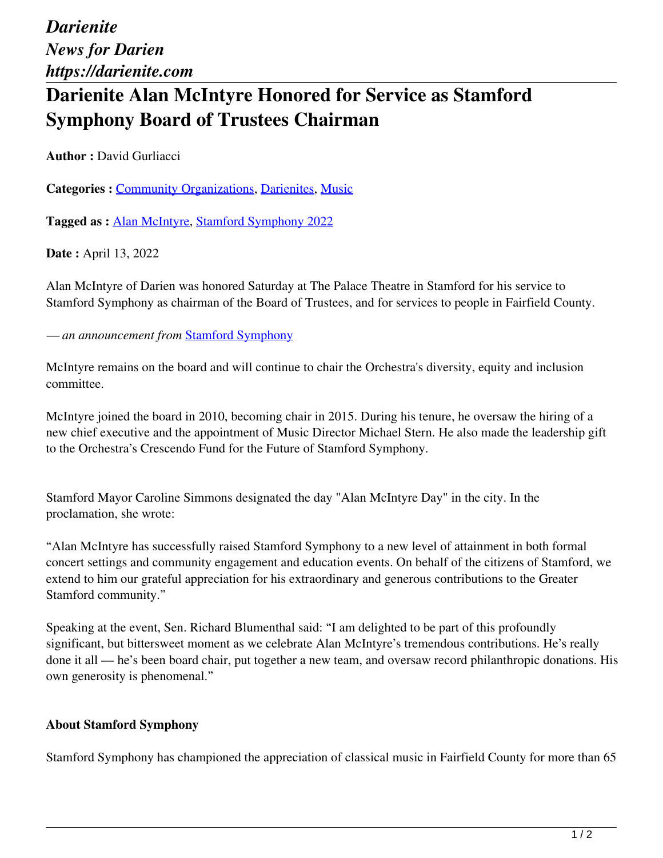## **Darienite Alan McIntyre Honored for Service as Stamford Symphony Board of Trustees Chairman**

**Author :** David Gurliacci

**Categories :** [Community Organizations,](https://darienite.com/category/news/community-organizations) Darienites, Music

**Tagged as :** Alan McIntyre, Stamford Symphony 2022

**Date :** April 13, 2022

Alan McIntyre of Darien was honored Saturday at The Palace Theatre in Stamford for his service to Stamford Symphony as chairman of the Board of Trustees, and for services to people in Fairfield County.

*— an announcement from* Stamford Symphony

McIntyre remains on the board and will continue to chair the Orchestra's diversity, equity and inclusion committee.

McIntyre joined the board in 2010, becoming chair in 2015. During his tenure, he oversaw the hiring of a new chief executive and the appointment of Music Director Michael Stern. He also made the leadership gift to the Orchestra's Crescendo Fund for the Future of Stamford Symphony.

Stamford Mayor Caroline Simmons designated the day "Alan McIntyre Day" in the city. In the proclamation, she wrote:

"Alan McIntyre has successfully raised Stamford Symphony to a new level of attainment in both formal concert settings and community engagement and education events. On behalf of the citizens of Stamford, we extend to him our grateful appreciation for his extraordinary and generous contributions to the Greater Stamford community."

Speaking at the event, Sen. Richard Blumenthal said: "I am delighted to be part of this profoundly significant, but bittersweet moment as we celebrate Alan McIntyre's tremendous contributions. He's really done it all — he's been board chair, put together a new team, and oversaw record philanthropic donations. His own generosity is phenomenal."

## **About Stamford Symphony**

Stamford Symphony has championed the appreciation of classical music in Fairfield County for more than 65